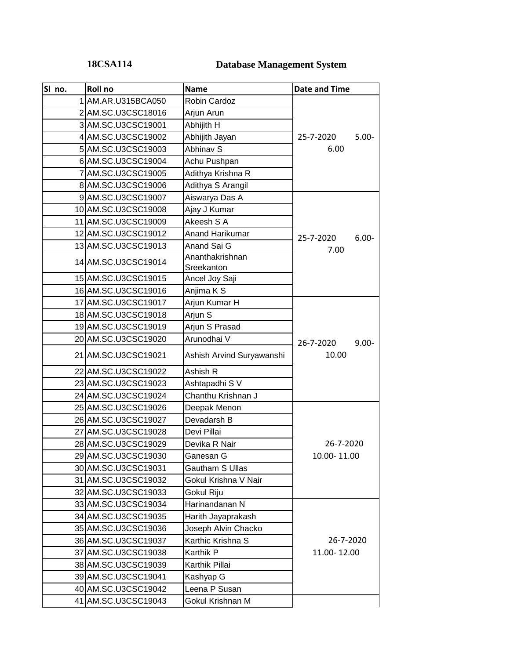## **18CSA114**

# **Database Management System**

| SI no. | Roll no             | <b>Name</b>               | <b>Date and Time</b>  |
|--------|---------------------|---------------------------|-----------------------|
|        | AM.AR.U315BCA050    | <b>Robin Cardoz</b>       |                       |
|        | 2 AM.SC.U3CSC18016  | Arjun Arun                |                       |
|        | 3 AM.SC.U3CSC19001  | Abhijith H                |                       |
|        | 4 AM.SC.U3CSC19002  | Abhijith Jayan            | 25-7-2020<br>$5.00 -$ |
|        | 5 AM.SC.U3CSC19003  | Abhinav S                 | 6.00                  |
|        | 6 AM.SC.U3CSC19004  | Achu Pushpan              |                       |
|        | 7 AM.SC.U3CSC19005  | Adithya Krishna R         |                       |
|        | 8 AM.SC.U3CSC19006  | Adithya S Arangil         |                       |
|        | 9 AM.SC.U3CSC19007  | Aiswarya Das A            |                       |
|        | 10 AM.SC.U3CSC19008 | Ajay J Kumar              |                       |
|        | 11 AM.SC.U3CSC19009 | Akeesh S A                |                       |
|        | 12 AM.SC.U3CSC19012 | <b>Anand Harikumar</b>    | $6.00 -$<br>25-7-2020 |
|        | 13 AM.SC.U3CSC19013 | Anand Sai G               | 7.00                  |
|        | 14 AM.SC.U3CSC19014 | Ananthakrishnan           |                       |
|        |                     | Sreekanton                |                       |
|        | 15 AM.SC.U3CSC19015 | Ancel Joy Saji            |                       |
|        | 16 AM.SC.U3CSC19016 | Anjima K S                |                       |
|        | 17 AM.SC.U3CSC19017 | Arjun Kumar H             |                       |
|        | 18 AM.SC.U3CSC19018 | Arjun S                   |                       |
|        | 19 AM.SC.U3CSC19019 | Arjun S Prasad            |                       |
|        | 20 AM.SC.U3CSC19020 | Arunodhai V               | 26-7-2020<br>$9.00 -$ |
|        | 21 AM.SC.U3CSC19021 | Ashish Arvind Suryawanshi | 10.00                 |
|        | 22 AM.SC.U3CSC19022 | Ashish R                  |                       |
|        | 23 AM.SC.U3CSC19023 | Ashtapadhi S V            |                       |
|        | 24 AM.SC.U3CSC19024 | Chanthu Krishnan J        |                       |
|        | 25 AM.SC.U3CSC19026 | Deepak Menon              |                       |
|        | 26 AM.SC.U3CSC19027 | Devadarsh B               |                       |
|        | 27 AM.SC.U3CSC19028 | Devi Pillai               |                       |
|        | 28 AM.SC.U3CSC19029 | Devika R Nair             | 26-7-2020             |
|        | 29 AM.SC.U3CSC19030 | Ganesan G                 | 10.00-11.00           |
|        | 30 AM.SC.U3CSC19031 | Gautham S Ullas           |                       |
|        | 31 AM.SC.U3CSC19032 | Gokul Krishna V Nair      |                       |
|        | 32 AM.SC.U3CSC19033 | Gokul Riju                |                       |
|        | 33 AM.SC.U3CSC19034 | Harinandanan N            |                       |
|        | 34 AM.SC.U3CSC19035 | Harith Jayaprakash        |                       |
|        | 35 AM.SC.U3CSC19036 | Joseph Alvin Chacko       |                       |
|        | 36 AM.SC.U3CSC19037 | Karthic Krishna S         | 26-7-2020             |
|        | 37 AM.SC.U3CSC19038 | Karthik P                 | 11.00-12.00           |
|        | 38 AM.SC.U3CSC19039 | Karthik Pillai            |                       |
|        | 39 AM.SC.U3CSC19041 | Kashyap G                 |                       |
|        | 40 AM.SC.U3CSC19042 | Leena P Susan             |                       |
|        | 41 AM.SC.U3CSC19043 | Gokul Krishnan M          |                       |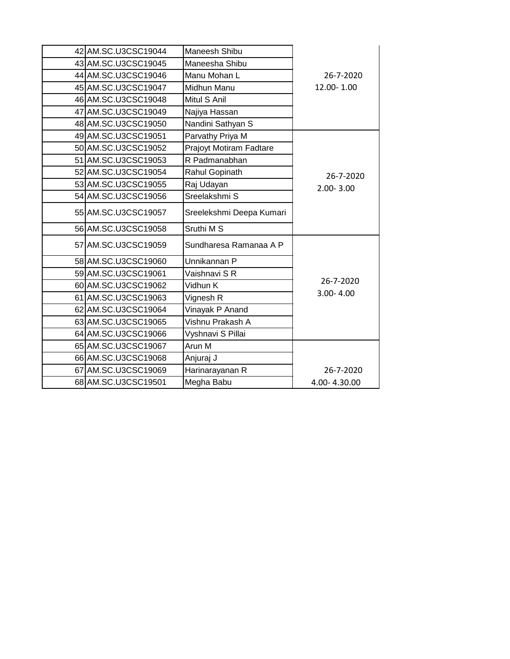| 42 AM.SC.U3CSC19044 | Maneesh Shibu            |               |
|---------------------|--------------------------|---------------|
| 43 AM.SC.U3CSC19045 | Maneesha Shibu           |               |
| 44 AM.SC.U3CSC19046 | Manu Mohan L             | 26-7-2020     |
| 45 AM.SC.U3CSC19047 | Midhun Manu              | 12.00-1.00    |
| 46 AM.SC.U3CSC19048 | Mitul S Anil             |               |
| 47 AM.SC.U3CSC19049 | Najiya Hassan            |               |
| 48 AM.SC.U3CSC19050 | Nandini Sathyan S        |               |
| 49 AM.SC.U3CSC19051 | Parvathy Priya M         |               |
| 50 AM.SC.U3CSC19052 | Prajoyt Motiram Fadtare  |               |
| 51 AM.SC.U3CSC19053 | R Padmanabhan            |               |
| 52 AM.SC.U3CSC19054 | Rahul Gopinath           | 26-7-2020     |
| 53 AM.SC.U3CSC19055 | Raj Udayan               | $2.00 - 3.00$ |
| 54 AM.SC.U3CSC19056 | Sreelakshmi S            |               |
| 55 AM.SC.U3CSC19057 | Sreelekshmi Deepa Kumari |               |
| 56 AM.SC.U3CSC19058 | Sruthi M S               |               |
| 57 AM.SC.U3CSC19059 | Sundharesa Ramanaa A P   |               |
| 58 AM.SC.U3CSC19060 | Unnikannan P             |               |
| 59 AM.SC.U3CSC19061 | Vaishnavi S R            |               |
| 60 AM.SC.U3CSC19062 | Vidhun K                 | 26-7-2020     |
| 61 AM.SC.U3CSC19063 | Vignesh R                | $3.00 - 4.00$ |
| 62 AM.SC.U3CSC19064 | Vinayak P Anand          |               |
| 63 AM.SC.U3CSC19065 | Vishnu Prakash A         |               |
| 64 AM.SC.U3CSC19066 | Vyshnavi S Pillai        |               |
| 65 AM.SC.U3CSC19067 | Arun M                   |               |
| 66 AM.SC.U3CSC19068 | Anjuraj J                |               |
| 67 AM.SC.U3CSC19069 | Harinarayanan R          | 26-7-2020     |
| 68 AM.SC.U3CSC19501 | Megha Babu               | 4.00-4.30.00  |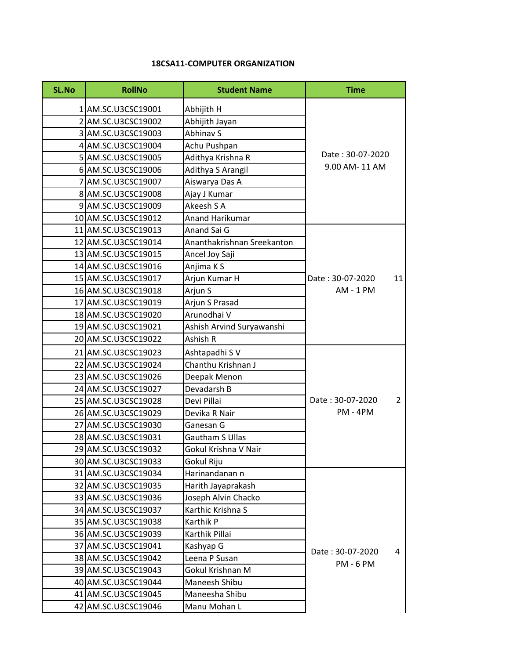#### **18CSA11-COMPUTER ORGANIZATION**

| <b>SL.No</b> | <b>RollNo</b>       | <b>Student Name</b>        | <b>Time</b>                        |
|--------------|---------------------|----------------------------|------------------------------------|
|              | 1 AM.SC.U3CSC19001  | Abhijith H                 |                                    |
|              | 2 AM.SC.U3CSC19002  | Abhijith Jayan             |                                    |
|              | 3 AM.SC.U3CSC19003  | Abhinav S                  |                                    |
|              | 4 AM.SC.U3CSC19004  | Achu Pushpan               |                                    |
|              | 5 AM.SC.U3CSC19005  | Adithya Krishna R          | Date: 30-07-2020                   |
|              | 6 AM.SC.U3CSC19006  | Adithya S Arangil          | 9.00 AM-11 AM                      |
|              | 7 AM.SC.U3CSC19007  | Aiswarya Das A             |                                    |
|              | 8 AM.SC.U3CSC19008  | Ajay J Kumar               |                                    |
|              | 9 AM.SC.U3CSC19009  | Akeesh S A                 |                                    |
|              | 10 AM.SC.U3CSC19012 | Anand Harikumar            |                                    |
|              | 11 AM.SC.U3CSC19013 | Anand Sai G                |                                    |
|              | 12 AM.SC.U3CSC19014 | Ananthakrishnan Sreekanton |                                    |
|              | 13 AM.SC.U3CSC19015 | Ancel Joy Saji             |                                    |
|              | 14 AM.SC.U3CSC19016 | Anjima K S                 |                                    |
|              | 15 AM.SC.U3CSC19017 | Arjun Kumar H              | Date: 30-07-2020<br>11             |
|              | 16 AM.SC.U3CSC19018 | Arjun S                    | AM - 1 PM                          |
|              | 17 AM.SC.U3CSC19019 | Arjun S Prasad             |                                    |
|              | 18 AM.SC.U3CSC19020 | Arunodhai V                |                                    |
|              | 19 AM.SC.U3CSC19021 | Ashish Arvind Suryawanshi  |                                    |
|              | 20 AM.SC.U3CSC19022 | Ashish R                   |                                    |
|              | 21 AM.SC.U3CSC19023 | Ashtapadhi S V             |                                    |
|              | 22 AM.SC.U3CSC19024 | Chanthu Krishnan J         |                                    |
|              | 23 AM.SC.U3CSC19026 | Deepak Menon               |                                    |
|              | 24 AM.SC.U3CSC19027 | Devadarsh B                |                                    |
|              | 25 AM.SC.U3CSC19028 | Devi Pillai                | Date: 30-07-2020<br>$\overline{2}$ |
|              | 26 AM.SC.U3CSC19029 | Devika R Nair              | PM - 4PM                           |
|              | 27 AM.SC.U3CSC19030 | Ganesan G                  |                                    |
|              | 28 AM.SC.U3CSC19031 | <b>Gautham S Ullas</b>     |                                    |
|              | 29 AM.SC.U3CSC19032 | Gokul Krishna V Nair       |                                    |
|              | 30 AM.SC.U3CSC19033 | Gokul Riju                 |                                    |
|              | 31 AM.SC.U3CSC19034 | Harinandanan n             |                                    |
|              | 32 AM.SC.U3CSC19035 | Harith Jayaprakash         |                                    |
|              | 33 AM.SC.U3CSC19036 | Joseph Alvin Chacko        |                                    |
|              | 34 AM.SC.U3CSC19037 | Karthic Krishna S          |                                    |
|              | 35 AM.SC.U3CSC19038 | Karthik P                  |                                    |
|              | 36 AM.SC.U3CSC19039 | Karthik Pillai             |                                    |
|              | 37 AM.SC.U3CSC19041 | Kashyap G                  |                                    |
|              | 38 AM.SC.U3CSC19042 | Leena P Susan              | Date: 30-07-2020<br>4              |
|              | 39 AM.SC.U3CSC19043 | Gokul Krishnan M           | <b>PM - 6 PM</b>                   |
|              | 40 AM.SC.U3CSC19044 | Maneesh Shibu              |                                    |
|              | 41 AM.SC.U3CSC19045 | Maneesha Shibu             |                                    |
|              | 42 AM.SC.U3CSC19046 | Manu Mohan L               |                                    |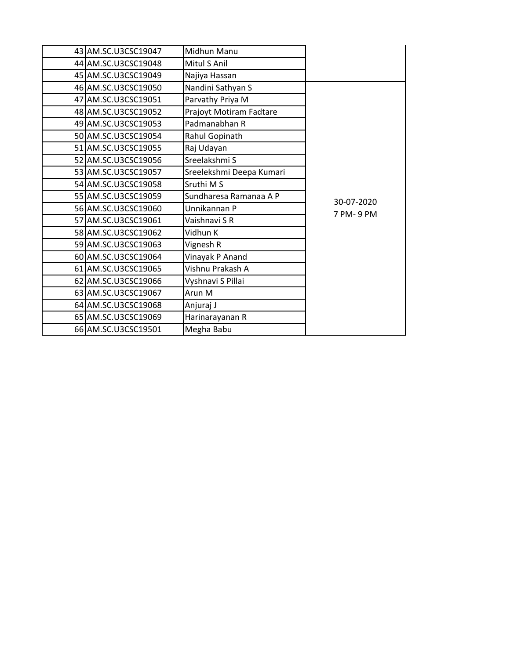|            | Midhun Manu              | 43 AM.SC.U3CSC19047 |  |
|------------|--------------------------|---------------------|--|
|            | Mitul S Anil             | 44 AM.SC.U3CSC19048 |  |
|            | Najiya Hassan            | 45 AM.SC.U3CSC19049 |  |
|            | Nandini Sathyan S        | 46 AM.SC.U3CSC19050 |  |
|            | Parvathy Priya M         | 47 AM.SC.U3CSC19051 |  |
|            | Prajoyt Motiram Fadtare  | 48 AM.SC.U3CSC19052 |  |
|            | Padmanabhan R            | 49 AM.SC.U3CSC19053 |  |
|            | Rahul Gopinath           | 50 AM.SC.U3CSC19054 |  |
|            | Raj Udayan               | 51 AM.SC.U3CSC19055 |  |
|            | Sreelakshmi S            | 52 AM.SC.U3CSC19056 |  |
|            | Sreelekshmi Deepa Kumari | 53 AM.SC.U3CSC19057 |  |
|            | Sruthi M S               | 54 AM.SC.U3CSC19058 |  |
| 30-07-2020 | Sundharesa Ramanaa A P   | 55 AM.SC.U3CSC19059 |  |
| 7 PM-9 PM  | Unnikannan P             | 56 AM.SC.U3CSC19060 |  |
|            | Vaishnavi S R            | 57 AM.SC.U3CSC19061 |  |
|            | Vidhun K                 | 58 AM.SC.U3CSC19062 |  |
|            | Vignesh R                | 59 AM.SC.U3CSC19063 |  |
|            | Vinayak P Anand          | 60 AM.SC.U3CSC19064 |  |
|            | Vishnu Prakash A         | 61 AM.SC.U3CSC19065 |  |
|            | Vyshnavi S Pillai        | 62 AM.SC.U3CSC19066 |  |
|            | Arun M                   | 63 AM.SC.U3CSC19067 |  |
|            | Anjuraj J                | 64 AM.SC.U3CSC19068 |  |
|            | Harinarayanan R          | 65 AM.SC.U3CSC19069 |  |
|            | Megha Babu               | 66 AM.SC.U3CSC19501 |  |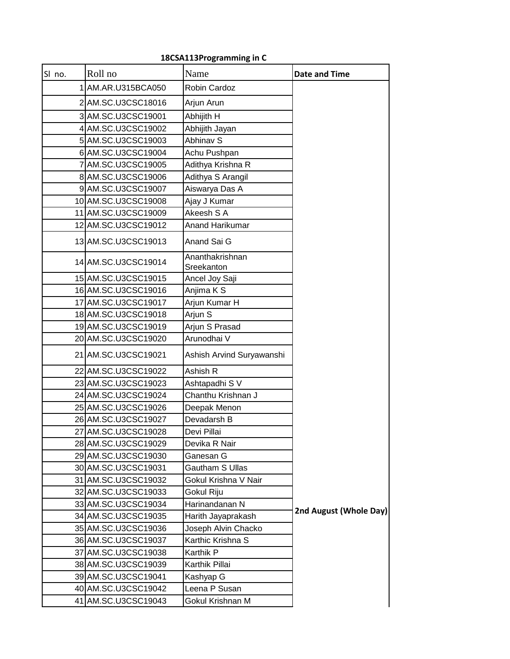### **18CSA113 Programming in C**

 $\overline{a}$ 

| SI no. | Roll no             | Name                          | <b>Date and Time</b>   |
|--------|---------------------|-------------------------------|------------------------|
|        | 1 AM.AR.U315BCA050  | Robin Cardoz                  |                        |
|        | 2 AM.SC.U3CSC18016  | Arjun Arun                    |                        |
|        | 3 AM.SC.U3CSC19001  | Abhijith H                    |                        |
|        | 4 AM.SC.U3CSC19002  | Abhijith Jayan                |                        |
|        | 5 AM.SC.U3CSC19003  | Abhinav S                     |                        |
|        | 6 AM.SC.U3CSC19004  | Achu Pushpan                  |                        |
|        | 7 AM.SC.U3CSC19005  | Adithya Krishna R             |                        |
|        | 8 AM.SC.U3CSC19006  | Adithya S Arangil             |                        |
|        | 9 AM.SC.U3CSC19007  | Aiswarya Das A                |                        |
|        | 10 AM.SC.U3CSC19008 | Ajay J Kumar                  |                        |
|        | 11 AM.SC.U3CSC19009 | Akeesh S A                    |                        |
|        | 12 AM.SC.U3CSC19012 | Anand Harikumar               |                        |
|        | 13 AM.SC.U3CSC19013 | Anand Sai G                   |                        |
|        | 14 AM.SC.U3CSC19014 | Ananthakrishnan<br>Sreekanton |                        |
|        | 15 AM.SC.U3CSC19015 | Ancel Joy Saji                |                        |
|        | 16 AM.SC.U3CSC19016 | Anjima K S                    |                        |
|        | 17 AM.SC.U3CSC19017 | Arjun Kumar H                 |                        |
|        | 18 AM.SC.U3CSC19018 | Arjun S                       |                        |
|        | 19 AM.SC.U3CSC19019 | Arjun S Prasad                |                        |
|        | 20 AM.SC.U3CSC19020 | Arunodhai V                   |                        |
|        | 21 AM.SC.U3CSC19021 | Ashish Arvind Suryawanshi     |                        |
|        | 22 AM.SC.U3CSC19022 | Ashish R                      |                        |
|        | 23 AM.SC.U3CSC19023 | Ashtapadhi S V                |                        |
|        | 24 AM.SC.U3CSC19024 | Chanthu Krishnan J            |                        |
|        | 25 AM.SC.U3CSC19026 | Deepak Menon                  |                        |
|        | 26 AM.SC.U3CSC19027 | Devadarsh B                   |                        |
|        | 27 AM.SC.U3CSC19028 | Devi Pillai                   |                        |
|        | 28 AM.SC.U3CSC19029 | Devika R Nair                 |                        |
|        | 29 AM.SC.U3CSC19030 | Ganesan G                     |                        |
|        | 30 AM.SC.U3CSC19031 | Gautham S Ullas               |                        |
|        | 31 AM.SC.U3CSC19032 | Gokul Krishna V Nair          |                        |
|        | 32 AM.SC.U3CSC19033 | Gokul Riju                    |                        |
|        | 33 AM.SC.U3CSC19034 | Harinandanan N                | 2nd August (Whole Day) |
|        | 34 AM.SC.U3CSC19035 | Harith Jayaprakash            |                        |
|        | 35 AM.SC.U3CSC19036 | Joseph Alvin Chacko           |                        |
|        | 36 AM.SC.U3CSC19037 | Karthic Krishna S             |                        |
|        | 37 AM.SC.U3CSC19038 | Karthik P                     |                        |
|        | 38 AM.SC.U3CSC19039 | Karthik Pillai                |                        |
|        | 39 AM.SC.U3CSC19041 | Kashyap G                     |                        |
|        | 40 AM.SC.U3CSC19042 | Leena P Susan                 |                        |
|        | 41 AM.SC.U3CSC19043 | Gokul Krishnan M              |                        |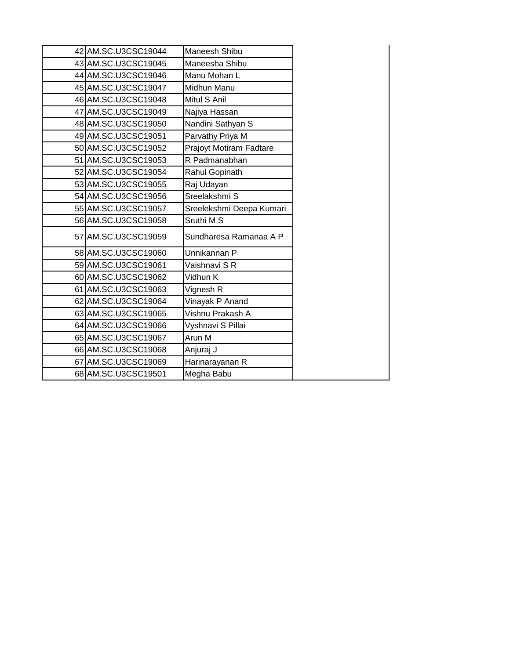| 42 AM.SC.U3CSC19044 | Maneesh Shibu            |
|---------------------|--------------------------|
| 43 AM.SC.U3CSC19045 | Maneesha Shibu           |
| 44 AM.SC.U3CSC19046 | Manu Mohan L             |
| 45 AM.SC.U3CSC19047 | Midhun Manu              |
| 46 AM.SC.U3CSC19048 | Mitul S Anil             |
| 47 AM.SC.U3CSC19049 | Najiya Hassan            |
| 48 AM.SC.U3CSC19050 | Nandini Sathyan S        |
| 49 AM.SC.U3CSC19051 | Parvathy Priya M         |
| 50 AM.SC.U3CSC19052 | Prajoyt Motiram Fadtare  |
| 51 AM.SC.U3CSC19053 | R Padmanabhan            |
| 52 AM.SC.U3CSC19054 | Rahul Gopinath           |
| 53 AM.SC.U3CSC19055 | Raj Udayan               |
| 54 AM.SC.U3CSC19056 | Sreelakshmi S            |
| 55 AM.SC.U3CSC19057 | Sreelekshmi Deepa Kumari |
| 56 AM.SC.U3CSC19058 | Sruthi M S               |
| 57 AM.SC.U3CSC19059 | Sundharesa Ramanaa A P   |
| 58 AM.SC.U3CSC19060 | Unnikannan P             |
| 59 AM.SC.U3CSC19061 | Vaishnavi S R            |
| 60 AM.SC.U3CSC19062 | Vidhun K                 |
| 61 AM.SC.U3CSC19063 | Vignesh R                |
| 62 AM.SC.U3CSC19064 | Vinayak P Anand          |
| 63 AM.SC.U3CSC19065 | Vishnu Prakash A         |
| 64 AM.SC.U3CSC19066 | Vyshnavi S Pillai        |
| 65 AM.SC.U3CSC19067 | Arun M                   |
| 66 AM.SC.U3CSC19068 | Anjuraj J                |
| 67 AM.SC.U3CSC19069 | Harinarayanan R          |
| 68 AM.SC.U3CSC19501 | Megha Babu               |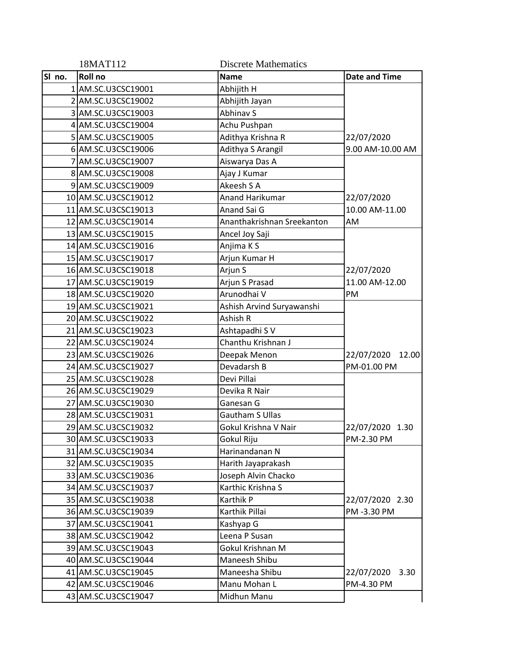|        | 18MAT112            | <b>Discrete Mathematics</b> |                      |
|--------|---------------------|-----------------------------|----------------------|
| SI no. | Roll no             | <b>Name</b>                 | <b>Date and Time</b> |
|        | 1 AM.SC.U3CSC19001  | Abhijith H                  |                      |
|        | 2 AM.SC.U3CSC19002  | Abhijith Jayan              |                      |
|        | 3 AM.SC.U3CSC19003  | Abhinav S                   |                      |
|        | 4 AM.SC.U3CSC19004  | Achu Pushpan                |                      |
|        | 5 AM.SC.U3CSC19005  | Adithya Krishna R           | 22/07/2020           |
|        | 6 AM.SC.U3CSC19006  | Adithya S Arangil           | 9.00 AM-10.00 AM     |
|        | 7 AM.SC.U3CSC19007  | Aiswarya Das A              |                      |
|        | 8 AM.SC.U3CSC19008  | Ajay J Kumar                |                      |
|        | 9 AM.SC.U3CSC19009  | Akeesh S A                  |                      |
|        | 10 AM.SC.U3CSC19012 | Anand Harikumar             | 22/07/2020           |
|        | 11 AM.SC.U3CSC19013 | Anand Sai G                 | 10.00 AM-11.00       |
|        | 12 AM.SC.U3CSC19014 | Ananthakrishnan Sreekanton  | AM                   |
|        | 13 AM.SC.U3CSC19015 | Ancel Joy Saji              |                      |
|        | 14 AM.SC.U3CSC19016 | Anjima K S                  |                      |
|        | 15 AM.SC.U3CSC19017 | Arjun Kumar H               |                      |
|        | 16 AM.SC.U3CSC19018 | Arjun S                     | 22/07/2020           |
|        | 17 AM.SC.U3CSC19019 | Arjun S Prasad              | 11.00 AM-12.00       |
|        | 18 AM.SC.U3CSC19020 | Arunodhai V                 | PM                   |
|        | 19 AM.SC.U3CSC19021 | Ashish Arvind Suryawanshi   |                      |
|        | 20 AM.SC.U3CSC19022 | Ashish R                    |                      |
|        | 21 AM.SC.U3CSC19023 | Ashtapadhi S V              |                      |
|        | 22 AM.SC.U3CSC19024 | Chanthu Krishnan J          |                      |
|        | 23 AM.SC.U3CSC19026 | Deepak Menon                | 22/07/2020<br>12.00  |
|        | 24 AM.SC.U3CSC19027 | Devadarsh B                 | PM-01.00 PM          |
|        | 25 AM.SC.U3CSC19028 | Devi Pillai                 |                      |
|        | 26 AM.SC.U3CSC19029 | Devika R Nair               |                      |
|        | 27 AM.SC.U3CSC19030 | Ganesan G                   |                      |
|        | 28 AM.SC.U3CSC19031 | <b>Gautham S Ullas</b>      |                      |
|        | 29 AM.SC.U3CSC19032 | Gokul Krishna V Nair        | 22/07/2020 1.30      |
|        | 30 AM.SC.U3CSC19033 | Gokul Riju                  | PM-2.30 PM           |
|        | 31 AM.SC.U3CSC19034 | Harinandanan N              |                      |
|        | 32 AM.SC.U3CSC19035 | Harith Jayaprakash          |                      |
|        | 33 AM.SC.U3CSC19036 | Joseph Alvin Chacko         |                      |
|        | 34 AM.SC.U3CSC19037 | Karthic Krishna S           |                      |
|        | 35 AM.SC.U3CSC19038 | Karthik P                   | 22/07/2020 2.30      |
|        | 36 AM.SC.U3CSC19039 | Karthik Pillai              | PM-3.30 PM           |
|        | 37 AM.SC.U3CSC19041 | Kashyap G                   |                      |
|        | 38 AM.SC.U3CSC19042 | Leena P Susan               |                      |
|        | 39 AM.SC.U3CSC19043 | Gokul Krishnan M            |                      |
|        | 40 AM.SC.U3CSC19044 | Maneesh Shibu               |                      |
|        | 41 AM.SC.U3CSC19045 | Maneesha Shibu              | 22/07/2020<br>3.30   |
|        | 42 AM.SC.U3CSC19046 | Manu Mohan L                | PM-4.30 PM           |
|        | 43 AM.SC.U3CSC19047 | Midhun Manu                 |                      |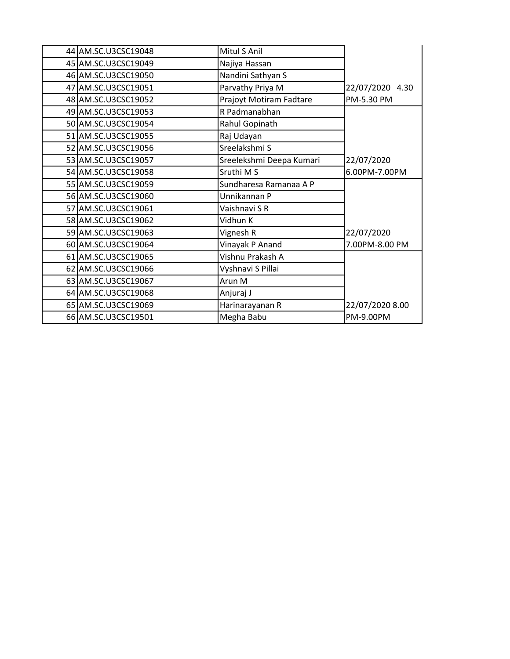| 44 AM.SC.U3CSC19048 | Mitul S Anil             |                 |
|---------------------|--------------------------|-----------------|
| 45 AM.SC.U3CSC19049 | Najiya Hassan            |                 |
| 46 AM.SC.U3CSC19050 | Nandini Sathyan S        |                 |
| 47 AM.SC.U3CSC19051 | Parvathy Priya M         | 22/07/2020 4.30 |
| 48 AM.SC.U3CSC19052 | Prajoyt Motiram Fadtare  | PM-5.30 PM      |
| 49 AM.SC.U3CSC19053 | R Padmanabhan            |                 |
| 50 AM.SC.U3CSC19054 | Rahul Gopinath           |                 |
| 51 AM.SC.U3CSC19055 | Raj Udayan               |                 |
| 52 AM.SC.U3CSC19056 | Sreelakshmi S            |                 |
| 53 AM.SC.U3CSC19057 | Sreelekshmi Deepa Kumari | 22/07/2020      |
| 54 AM.SC.U3CSC19058 | Sruthi M S               | 6.00PM-7.00PM   |
| 55 AM.SC.U3CSC19059 | Sundharesa Ramanaa A P   |                 |
| 56 AM.SC.U3CSC19060 | Unnikannan P             |                 |
| 57 AM.SC.U3CSC19061 | Vaishnavi SR             |                 |
| 58 AM.SC.U3CSC19062 | Vidhun K                 |                 |
| 59 AM.SC.U3CSC19063 | Vignesh R                | 22/07/2020      |
| 60 AM.SC.U3CSC19064 | Vinayak P Anand          | 7.00PM-8.00 PM  |
| 61 AM.SC.U3CSC19065 | Vishnu Prakash A         |                 |
| 62 AM.SC.U3CSC19066 | Vyshnavi S Pillai        |                 |
| 63 AM.SC.U3CSC19067 | Arun M                   |                 |
| 64 AM.SC.U3CSC19068 | Anjuraj J                |                 |
| 65 AM.SC.U3CSC19069 | Harinarayanan R          | 22/07/2020 8.00 |
| 66 AM.SC.U3CSC19501 | Megha Babu               | PM-9.00PM       |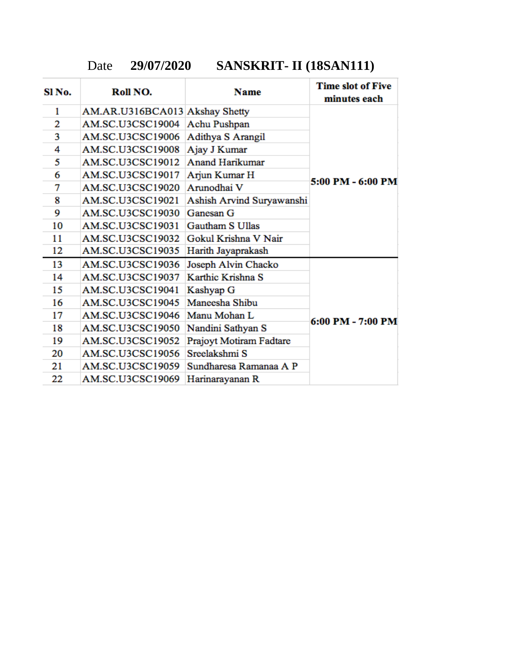Date **29/07/2020 SANSKRIT- II (18SAN111)**

| SI <sub>No.</sub> | Roll NO.                       | Name                      | <b>Time slot of Five</b><br>minutes each |
|-------------------|--------------------------------|---------------------------|------------------------------------------|
| 1                 | AM.AR.U316BCA013 Akshay Shetty |                           |                                          |
| 2                 | AM.SC.U3CSC19004               | Achu Pushpan              |                                          |
| 3                 | AM.SC.U3CSC19006               | Adithya S Arangil         |                                          |
| 4                 | AM.SC.U3CSC19008               | Ajay J Kumar              |                                          |
| 5                 | AM.SC.U3CSC19012               | <b>Anand Harikumar</b>    |                                          |
| 6                 | AM.SC.U3CSC19017               | Arjun Kumar H             |                                          |
| 7                 | AM.SC.U3CSC19020               | Arunodhai V               | 5:00 PM - 6:00 PM                        |
| 8                 | AM.SC.U3CSC19021               | Ashish Arvind Suryawanshi |                                          |
| 9                 | AM.SC.U3CSC19030               | Ganesan G                 |                                          |
| 10                | AM.SC.U3CSC19031               | Gautham S Ullas           |                                          |
| 11                | AM.SC.U3CSC19032               | Gokul Krishna V Nair      |                                          |
| 12                | AM.SC.U3CSC19035               | Harith Jayaprakash        |                                          |
| 13                | AM.SC.U3CSC19036               | Joseph Alvin Chacko       |                                          |
| 14                | AM.SC.U3CSC19037               | Karthic Krishna S         |                                          |
| 15                | AM.SC.U3CSC19041               | Kashyap G                 |                                          |
| 16                | AM.SC.U3CSC19045               | Maneesha Shibu            |                                          |
| 17                | AM.SC.U3CSC19046               | Manu Mohan L              |                                          |
| 18                | AM.SC.U3CSC19050               | Nandini Sathyan S         | $6:00$ PM - 7:00 PM                      |
| 19                | AM.SC.U3CSC19052               | Prajoyt Motiram Fadtare   |                                          |
| 20                | AM.SC.U3CSC19056               | Sreelakshmi S             |                                          |
| 21                | AM.SC.U3CSC19059               | Sundharesa Ramanaa A P    |                                          |
| 22                | AM.SC.U3CSC19069               | Harinarayanan R           |                                          |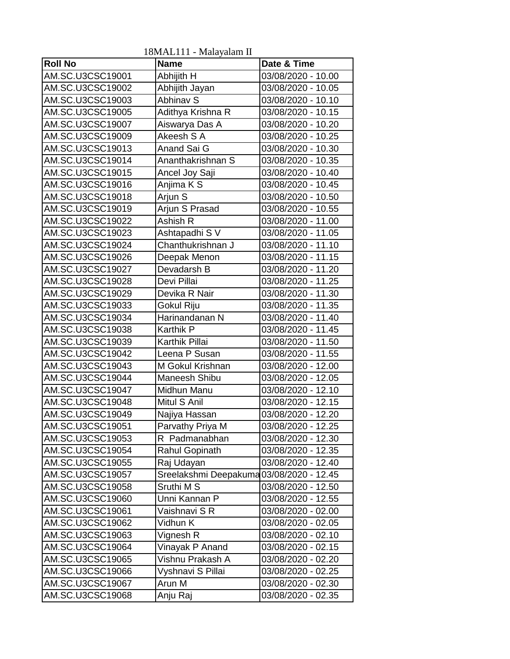| <b>Roll No</b>   | TOIVIALITT - IVIAIAYAIAIII II<br><b>Name</b> | Date & Time        |
|------------------|----------------------------------------------|--------------------|
| AM.SC.U3CSC19001 | Abhijith H                                   | 03/08/2020 - 10.00 |
| AM.SC.U3CSC19002 | Abhijith Jayan                               | 03/08/2020 - 10.05 |
| AM.SC.U3CSC19003 | Abhinav S                                    | 03/08/2020 - 10.10 |
| AM.SC.U3CSC19005 | Adithya Krishna R                            | 03/08/2020 - 10.15 |
| AM.SC.U3CSC19007 | Aiswarya Das A                               | 03/08/2020 - 10.20 |
| AM.SC.U3CSC19009 | Akeesh S A                                   | 03/08/2020 - 10.25 |
| AM.SC.U3CSC19013 | Anand Sai G                                  | 03/08/2020 - 10.30 |
| AM.SC.U3CSC19014 | Ananthakrishnan S                            | 03/08/2020 - 10.35 |
| AM.SC.U3CSC19015 | Ancel Joy Saji                               | 03/08/2020 - 10.40 |
| AM.SC.U3CSC19016 | Anjima K S                                   | 03/08/2020 - 10.45 |
| AM.SC.U3CSC19018 | Arjun S                                      | 03/08/2020 - 10.50 |
| AM.SC.U3CSC19019 | Arjun S Prasad                               | 03/08/2020 - 10.55 |
| AM.SC.U3CSC19022 | Ashish R                                     | 03/08/2020 - 11.00 |
| AM.SC.U3CSC19023 | Ashtapadhi S V                               | 03/08/2020 - 11.05 |
| AM.SC.U3CSC19024 | Chanthukrishnan J                            | 03/08/2020 - 11.10 |
| AM.SC.U3CSC19026 | Deepak Menon                                 | 03/08/2020 - 11.15 |
| AM.SC.U3CSC19027 | Devadarsh B                                  | 03/08/2020 - 11.20 |
| AM.SC.U3CSC19028 | Devi Pillai                                  | 03/08/2020 - 11.25 |
| AM.SC.U3CSC19029 | Devika R Nair                                | 03/08/2020 - 11.30 |
| AM.SC.U3CSC19033 | Gokul Riju                                   | 03/08/2020 - 11.35 |
| AM.SC.U3CSC19034 | Harinandanan N                               | 03/08/2020 - 11.40 |
| AM.SC.U3CSC19038 | Karthik P                                    | 03/08/2020 - 11.45 |
| AM.SC.U3CSC19039 | Karthik Pillai                               | 03/08/2020 - 11.50 |
| AM.SC.U3CSC19042 | Leena P Susan                                | 03/08/2020 - 11.55 |
| AM.SC.U3CSC19043 | M Gokul Krishnan                             | 03/08/2020 - 12.00 |
| AM.SC.U3CSC19044 | Maneesh Shibu                                | 03/08/2020 - 12.05 |
| AM.SC.U3CSC19047 | Midhun Manu                                  | 03/08/2020 - 12.10 |
| AM.SC.U3CSC19048 | Mitul S Anil                                 | 03/08/2020 - 12.15 |
| AM.SC.U3CSC19049 | Najiya Hassan                                | 03/08/2020 - 12.20 |
| AM.SC.U3CSC19051 | Parvathy Priya M                             | 03/08/2020 - 12.25 |
| AM.SC.U3CSC19053 | R Padmanabhan                                | 03/08/2020 - 12.30 |
| AM.SC.U3CSC19054 | Rahul Gopinath                               | 03/08/2020 - 12.35 |
| AM.SC.U3CSC19055 | Raj Udayan                                   | 03/08/2020 - 12.40 |
| AM.SC.U3CSC19057 | Sreelakshmi Deepakuma 03/08/2020 - 12.45     |                    |
| AM.SC.U3CSC19058 | Sruthi M S                                   | 03/08/2020 - 12.50 |
| AM.SC.U3CSC19060 | Unni Kannan P                                | 03/08/2020 - 12.55 |
| AM.SC.U3CSC19061 | Vaishnavi S R                                | 03/08/2020 - 02.00 |
| AM.SC.U3CSC19062 | Vidhun K                                     | 03/08/2020 - 02.05 |
| AM.SC.U3CSC19063 | Vignesh R                                    | 03/08/2020 - 02.10 |
| AM.SC.U3CSC19064 | Vinayak P Anand                              | 03/08/2020 - 02.15 |
| AM.SC.U3CSC19065 | Vishnu Prakash A                             | 03/08/2020 - 02.20 |
| AM.SC.U3CSC19066 | Vyshnavi S Pillai                            | 03/08/2020 - 02.25 |
| AM.SC.U3CSC19067 | Arun M                                       | 03/08/2020 - 02.30 |
| AM.SC.U3CSC19068 | Anju Raj                                     | 03/08/2020 - 02.35 |

18MAL111 - Malayalam II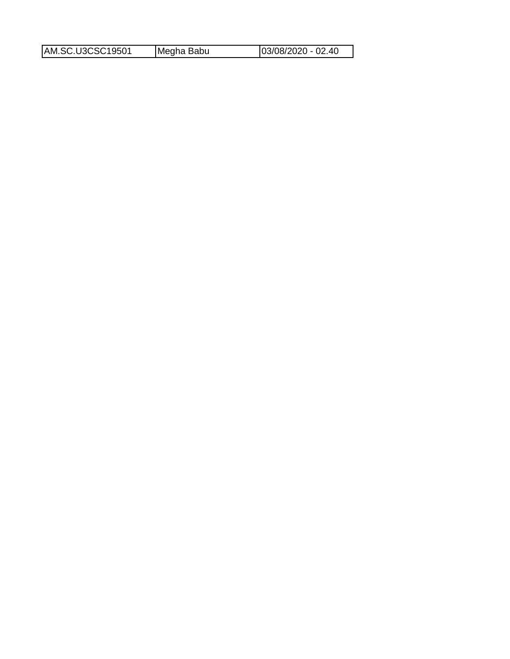| AM.SC.U3CSC19501 | Megha Babu | $ 03/08/2020 - 02.40$ |
|------------------|------------|-----------------------|
|                  |            |                       |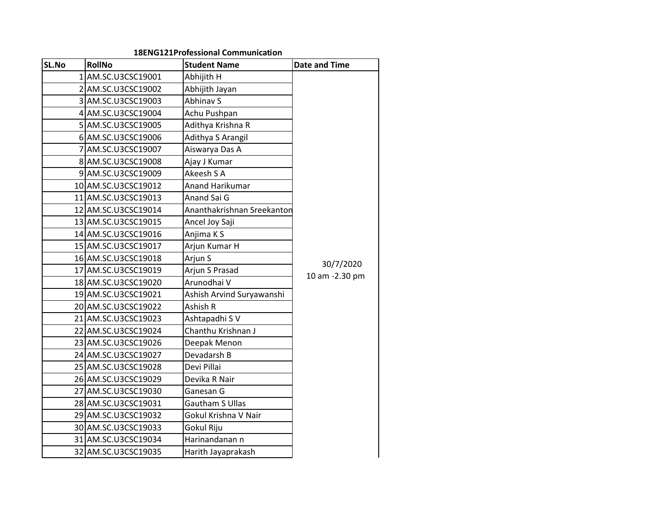| SL.No | <b>RollNo</b>       | <b>Student Name</b>        | <b>Date and Time</b> |
|-------|---------------------|----------------------------|----------------------|
|       | 1 AM.SC.U3CSC19001  | Abhijith H                 |                      |
|       | 2 AM.SC.U3CSC19002  | Abhijith Jayan             |                      |
|       | 3 AM.SC.U3CSC19003  | Abhinav S                  |                      |
|       | 4 AM.SC.U3CSC19004  | Achu Pushpan               |                      |
|       | 5 AM.SC.U3CSC19005  | Adithya Krishna R          |                      |
|       | 6 AM.SC.U3CSC19006  | Adithya S Arangil          |                      |
|       | 7 AM.SC.U3CSC19007  | Aiswarya Das A             |                      |
|       | 8 AM.SC.U3CSC19008  | Ajay J Kumar               |                      |
|       | 9 AM.SC.U3CSC19009  | Akeesh S A                 |                      |
|       | 10 AM.SC.U3CSC19012 | Anand Harikumar            |                      |
|       | 11 AM.SC.U3CSC19013 | Anand Sai G                |                      |
|       | 12 AM.SC.U3CSC19014 | Ananthakrishnan Sreekantor |                      |
|       | 13 AM.SC.U3CSC19015 | Ancel Joy Saji             |                      |
|       | 14 AM.SC.U3CSC19016 | Anjima K S                 |                      |
|       | 15 AM.SC.U3CSC19017 | Arjun Kumar H              |                      |
|       | 16 AM.SC.U3CSC19018 | Arjun S                    |                      |
|       | 17 AM.SC.U3CSC19019 | Arjun S Prasad             | 30/7/2020            |
|       | 18 AM.SC.U3CSC19020 | Arunodhai V                | 10 am -2.30 pm       |
|       | 19 AM.SC.U3CSC19021 | Ashish Arvind Suryawanshi  |                      |
|       | 20 AM.SC.U3CSC19022 | Ashish R                   |                      |
|       | 21 AM.SC.U3CSC19023 | Ashtapadhi SV              |                      |
|       | 22 AM.SC.U3CSC19024 | Chanthu Krishnan J         |                      |
|       | 23 AM.SC.U3CSC19026 | Deepak Menon               |                      |
|       | 24 AM.SC.U3CSC19027 | Devadarsh B                |                      |
|       | 25 AM.SC.U3CSC19028 | Devi Pillai                |                      |
|       | 26 AM.SC.U3CSC19029 | Devika R Nair              |                      |
|       | 27 AM.SC.U3CSC19030 | Ganesan G                  |                      |
|       | 28 AM.SC.U3CSC19031 | <b>Gautham S Ullas</b>     |                      |
|       | 29 AM.SC.U3CSC19032 | Gokul Krishna V Nair       |                      |
|       | 30 AM.SC.U3CSC19033 | Gokul Riju                 |                      |
|       | 31 AM.SC.U3CSC19034 | Harinandanan n             |                      |
|       | 32 AM.SC.U3CSC19035 | Harith Jayaprakash         |                      |

#### **18ENG121 Professional Communication**